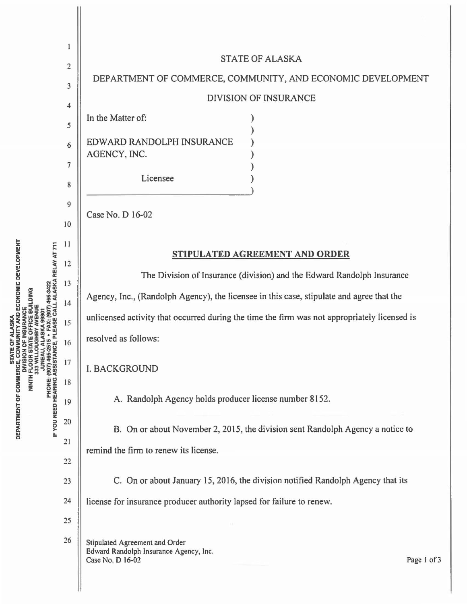| AND ECONOMIC DEVELOPMENT<br>465-3422<br>LALASKA RELAY AT 711<br><b>E BUILDING</b><br><b>DEPARTMENT OF COMMERCE, CON</b><br>DEPARTMENT OF COMMERCE, CON<br>(907) 465-2<br>ASSISTANO<br><b>DIVISION</b><br><b>JUNEAU</b><br>NINTH FLOOR S<br>333 WILL<br>IF YOU NEED HEARING | 1<br>$\overline{\mathbf{c}}$<br>3<br>4<br>5<br>6<br>7<br>8<br>9 | <b>STATE OF ALASKA</b><br>DEPARTMENT OF COMMERCE, COMMUNITY, AND ECONOMIC DEVELOPMENT<br><b>DIVISION OF INSURANCE</b><br>In the Matter of:<br>EDWARD RANDOLPH INSURANCE<br>AGENCY, INC.<br>Licensee<br>Case No. D 16-02                                                                           |             |
|----------------------------------------------------------------------------------------------------------------------------------------------------------------------------------------------------------------------------------------------------------------------------|-----------------------------------------------------------------|---------------------------------------------------------------------------------------------------------------------------------------------------------------------------------------------------------------------------------------------------------------------------------------------------|-------------|
|                                                                                                                                                                                                                                                                            | 10<br>11<br>12<br>13                                            | STIPULATED AGREEMENT AND ORDER<br>The Division of Insurance (division) and the Edward Randolph Insurance<br>Agency, Inc., (Randolph Agency), the licensee in this case, stipulate and agree that the                                                                                              |             |
|                                                                                                                                                                                                                                                                            | 14<br>15<br>16<br>17<br>18<br>19<br>20<br>21                    | unlicensed activity that occurred during the time the firm was not appropriately licensed is<br>resolved as follows:<br><b>I. BACKGROUND</b><br>A. Randolph Agency holds producer license number 8152.<br>B. On or about November 2, 2015, the division sent Randolph Agency a notice to          |             |
|                                                                                                                                                                                                                                                                            | 22<br>23<br>24<br>25<br>26                                      | remind the firm to renew its license.<br>C. On or about January 15, 2016, the division notified Randolph Agency that its<br>license for insurance producer authority lapsed for failure to renew.<br>Stipulated Agreement and Order<br>Edward Randolph Insurance Agency, Inc.<br>Case No. D 16-02 | Page 1 of 3 |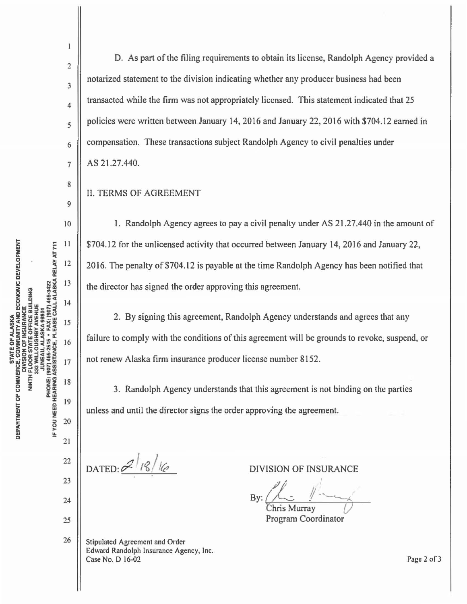2

 $\mathbf{1}$ 

3

4

*5* 

6

7

8

9

10

 $11$ 

 $12$ 

13

14

15

16

17

18

19

20

 $21$ 

22

23

24

25

26

D. As part of the filing requirements to obtain its license, Randolph Agency provided a notarized statement to the division indicating whether any producer business had been transacted while the firm was not appropriately licensed. This statement indicated that 25 policies were written between January 14, 2016 and January 22, 2016 with \$704.12 earned in compensation. These transactions subject Randolph Agency to civil penalties under AS 21.27.440.

## II. TERMS OF AGREEMENT

1. Randolph Agency agrees to pay a civil penalty under AS 21 .27.440 in the amount of \$704.12 for the unlicensed activity that occurred between January 14, 2016 and January 22, 2016. The penalty of \$704.12 is payable at the time Randolph Agency has been notified that the director has signed the order approving this agreement.

2. By signing this agreement, Randolph Agency understands and agrees that any failure to comply with the conditions of this agreement will be grounds to revoke, suspend, or not renew Alaska firm insurance producer license number 8152.

3. Randolph Agency understands that this agreement is not binding on the parties unless and until the director signs the order approving the agreement.

 $D$ ATED:  $2^{1/8/16}$ 

Stipulated Agreement and Order Edward Randolph Insurance Agency, Inc. Case No. D 16-02

DIVISION OF INSURANCE

By: ~ */!--.\_\_.\_\_,\_* 

 $Murray$ Program Coordinator

Page 2 of 3